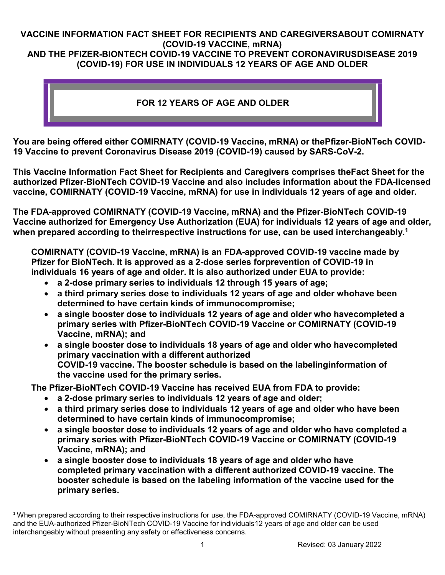### **VACCINE INFORMATION FACT SHEET FOR RECIPIENTS AND CAREGIVERSABOUT COMIRNATY (COVID-19 VACCINE, mRNA) AND THE PFIZER-BIONTECH COVID-19 VACCINE TO PREVENT CORONAVIRUSDISEASE 2019**

# **(COVID-19) FOR USE IN INDIVIDUALS 12 YEARS OF AGE AND OLDER**

### **FOR 12 YEARS OF AGE AND OLDER**

**You are being offered either COMIRNATY (COVID-19 Vaccine, mRNA) or thePfizer-BioNTech COVID-19 Vaccine to prevent Coronavirus Disease 2019 (COVID-19) caused by SARS-CoV-2.**

**This Vaccine Information Fact Sheet for Recipients and Caregivers comprises theFact Sheet for the authorized Pfizer-BioNTech COVID-19 Vaccine and also includes information about the FDA-licensed vaccine, COMIRNATY (COVID-19 Vaccine, mRNA) for use in individuals 12 years of age and older.**

**The FDA-approved COMIRNATY (COVID-19 Vaccine, mRNA) and the Pfizer-BioNTech COVID-19 Vaccine authorized for Emergency Use Authorization (EUA) for individuals 12 years of age and older, when prepared according to theirrespective instructions for use, can be used interchangeably.1**

**COMIRNATY (COVID-19 Vaccine, mRNA) is an FDA-approved COVID-19 vaccine made by Pfizer for BioNTech. It is approved as a 2-dose series forprevention of COVID-19 in individuals 16 years of age and older. It is also authorized under EUA to provide:**

- **a 2-dose primary series to individuals 12 through 15 years of age;**
- **a third primary series dose to individuals 12 years of age and older whohave been determined to have certain kinds of immunocompromise;**
- **a single booster dose to individuals 12 years of age and older who havecompleted a primary series with Pfizer-BioNTech COVID-19 Vaccine or COMIRNATY (COVID-19 Vaccine, mRNA); and**
- **a single booster dose to individuals 18 years of age and older who havecompleted primary vaccination with a different authorized COVID-19 vaccine. The booster schedule is based on the labelinginformation of the vaccine used for the primary series.**

**The Pfizer-BioNTech COVID-19 Vaccine has received EUA from FDA to provide:**

- **a 2-dose primary series to individuals 12 years of age and older;**
- **a third primary series dose to individuals 12 years of age and older who have been determined to have certain kinds of immunocompromise;**
- **a single booster dose to individuals 12 years of age and older who have completed a primary series with Pfizer-BioNTech COVID-19 Vaccine or COMIRNATY (COVID-19 Vaccine, mRNA); and**
- **a single booster dose to individuals 18 years of age and older who have completed primary vaccination with a different authorized COVID-19 vaccine. The booster schedule is based on the labeling information of the vaccine used for the primary series.**

<sup>&</sup>lt;sup>1</sup> When prepared according to their respective instructions for use, the FDA-approved COMIRNATY (COVID-19 Vaccine, mRNA) and the EUA-authorized Pfizer-BioNTech COVID-19 Vaccine for individuals12 years of age and older can be used interchangeably without presenting any safety or effectiveness concerns.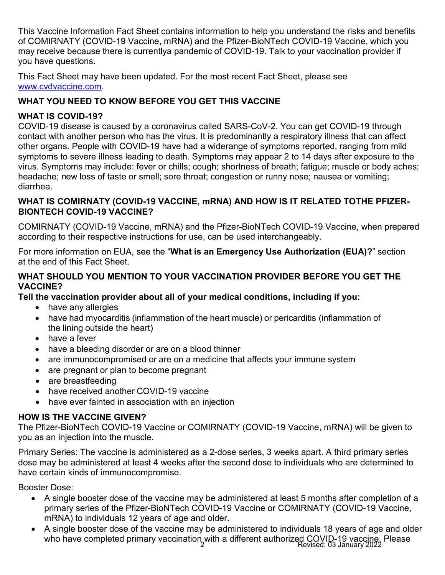This Vaccine Information Fact Sheet contains information to help you understand the risks and benefits of COMIRNATY (COVID-19 Vaccine, mRNA) and the Pfizer-BioNTech COVID-19 Vaccine, which you may receive because there is currentlya pandemic of COVID-19. Talk to your vaccination provider if you have questions.

This Fact Sheet may have been updated. For the most recent Fact Sheet, please see [www.cvdvaccine.com.](http://www.cvdvaccine.com/)

# **WHAT YOU NEED TO KNOW BEFORE YOU GET THIS VACCINE**

### **WHAT IS COVID-19?**

COVID-19 disease is caused by a coronavirus called SARS-CoV-2. You can get COVID-19 through contact with another person who has the virus. It is predominantly a respiratory illness that can affect other organs. People with COVID-19 have had a widerange of symptoms reported, ranging from mild symptoms to severe illness leading to death. Symptoms may appear 2 to 14 days after exposure to the virus. Symptoms may include: fever or chills; cough; shortness of breath; fatigue; muscle or body aches; headache; new loss of taste or smell; sore throat; congestion or runny nose; nausea or vomiting; diarrhea.

#### **WHAT IS COMIRNATY (COVID-19 VACCINE, mRNA) AND HOW IS IT RELATED TOTHE PFIZER-BIONTECH COVID-19 VACCINE?**

COMIRNATY (COVID-19 Vaccine, mRNA) and the Pfizer-BioNTech COVID-19 Vaccine, when prepared according to their respective instructions for use, can be used interchangeably.

For more information on EUA, see the "**What is an Emergency Use Authorization (EUA)?**" section at the end of this Fact Sheet.

#### **WHAT SHOULD YOU MENTION TO YOUR VACCINATION PROVIDER BEFORE YOU GET THE VACCINE?**

**Tell the vaccination provider about all of your medical conditions, including if you:**

- have any allergies
- have had myocarditis (inflammation of the heart muscle) or pericarditis (inflammation of the lining outside the heart)
- have a fever
- have a bleeding disorder or are on a blood thinner
- are immunocompromised or are on a medicine that affects your immune system
- are pregnant or plan to become pregnant
- are breastfeeding
- have received another COVID-19 vaccine
- have ever fainted in association with an injection

### **HOW IS THE VACCINE GIVEN?**

The Pfizer-BioNTech COVID-19 Vaccine or COMIRNATY (COVID-19 Vaccine, mRNA) will be given to you as an injection into the muscle.

Primary Series: The vaccine is administered as a 2-dose series, 3 weeks apart. A third primary series dose may be administered at least 4 weeks after the second dose to individuals who are determined to have certain kinds of immunocompromise.

Booster Dose:

- A single booster dose of the vaccine may be administered at least 5 months after completion of a primary series of the Pfizer-BioNTech COVID-19 Vaccine or COMIRNATY (COVID-19 Vaccine, mRNA) to individuals 12 years of age and older.
- who have completed primary vaccination with a different authorized COVID-19 vaccine. Please<br>Revised: 03 January 2022 • A single booster dose of the vaccine may be administered to individuals 18 years of age and older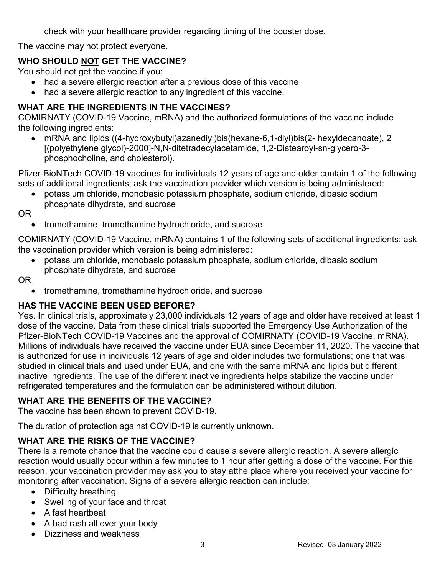check with your healthcare provider regarding timing of the booster dose.

The vaccine may not protect everyone.

# **WHO SHOULD NOT GET THE VACCINE?**

You should not get the vaccine if you:

- had a severe allergic reaction after a previous dose of this vaccine
- had a severe allergic reaction to any ingredient of this vaccine.

### **WHAT ARE THE INGREDIENTS IN THE VACCINES?**

COMIRNATY (COVID-19 Vaccine, mRNA) and the authorized formulations of the vaccine include the following ingredients:

• mRNA and lipids ((4-hydroxybutyl)azanediyl)bis(hexane-6,1-diyl)bis(2- hexyldecanoate), 2 [(polyethylene glycol)-2000]-N,N-ditetradecylacetamide, 1,2-Distearoyl-sn-glycero-3 phosphocholine, and cholesterol).

Pfizer-BioNTech COVID-19 vaccines for individuals 12 years of age and older contain 1 of the following sets of additional ingredients; ask the vaccination provider which version is being administered:

• potassium chloride, monobasic potassium phosphate, sodium chloride, dibasic sodium phosphate dihydrate, and sucrose

OR

• tromethamine, tromethamine hydrochloride, and sucrose

COMIRNATY (COVID-19 Vaccine, mRNA) contains 1 of the following sets of additional ingredients; ask the vaccination provider which version is being administered:

• potassium chloride, monobasic potassium phosphate, sodium chloride, dibasic sodium phosphate dihydrate, and sucrose

OR

• tromethamine, tromethamine hydrochloride, and sucrose

### **HAS THE VACCINE BEEN USED BEFORE?**

Yes. In clinical trials, approximately 23,000 individuals 12 years of age and older have received at least 1 dose of the vaccine. Data from these clinical trials supported the Emergency Use Authorization of the Pfizer-BioNTech COVID-19 Vaccines and the approval of COMIRNATY (COVID-19 Vaccine, mRNA). Millions of individuals have received the vaccine under EUA since December 11, 2020. The vaccine that is authorized for use in individuals 12 years of age and older includes two formulations; one that was studied in clinical trials and used under EUA, and one with the same mRNA and lipids but different inactive ingredients. The use of the different inactive ingredients helps stabilize the vaccine under refrigerated temperatures and the formulation can be administered without dilution.

#### **WHAT ARE THE BENEFITS OF THE VACCINE?**

The vaccine has been shown to prevent COVID-19.

The duration of protection against COVID-19 is currently unknown.

#### **WHAT ARE THE RISKS OF THE VACCINE?**

There is a remote chance that the vaccine could cause a severe allergic reaction. A severe allergic reaction would usually occur within a few minutes to 1 hour after getting a dose of the vaccine. For this reason, your vaccination provider may ask you to stay atthe place where you received your vaccine for monitoring after vaccination. Signs of a severe allergic reaction can include:

- Difficulty breathing
- Swelling of your face and throat
- A fast heartbeat
- A bad rash all over your body
- Dizziness and weakness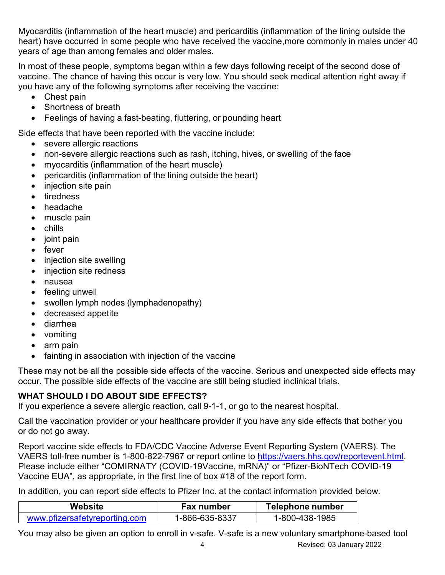Myocarditis (inflammation of the heart muscle) and pericarditis (inflammation of the lining outside the heart) have occurred in some people who have received the vaccine,more commonly in males under 40 years of age than among females and older males.

In most of these people, symptoms began within a few days following receipt of the second dose of vaccine. The chance of having this occur is very low. You should seek medical attention right away if you have any of the following symptoms after receiving the vaccine:

- Chest pain
- Shortness of breath
- Feelings of having a fast-beating, fluttering, or pounding heart

Side effects that have been reported with the vaccine include:

- severe allergic reactions
- non-severe allergic reactions such as rash, itching, hives, or swelling of the face
- myocarditis (inflammation of the heart muscle)
- pericarditis (inflammation of the lining outside the heart)
- injection site pain
- tiredness
- headache
- muscle pain
- chills
- joint pain
- fever
- injection site swelling
- injection site redness
- nausea
- feeling unwell
- swollen lymph nodes (lymphadenopathy)
- decreased appetite
- diarrhea
- vomiting
- arm pain
- fainting in association with injection of the vaccine

These may not be all the possible side effects of the vaccine. Serious and unexpected side effects may occur. The possible side effects of the vaccine are still being studied inclinical trials.

### **WHAT SHOULD I DO ABOUT SIDE EFFECTS?**

If you experience a severe allergic reaction, call 9-1-1, or go to the nearest hospital.

Call the vaccination provider or your healthcare provider if you have any side effects that bother you or do not go away.

Report vaccine side effects to FDA/CDC Vaccine Adverse Event Reporting System (VAERS). The VAERS toll-free number is 1-800-822-7967 or report online to [https://vaers.hhs.gov/reportevent.html.](https://vaers.hhs.gov/reportevent.html) Please include either "COMIRNATY (COVID-19Vaccine, mRNA)" or "Pfizer-BioNTech COVID-19 Vaccine EUA", as appropriate, in the first line of box #18 of the report form.

In addition, you can report side effects to Pfizer Inc. at the contact information provided below.

| Website                       | <b>Fax number</b> | <b>Telephone number</b> |
|-------------------------------|-------------------|-------------------------|
| www.pfizersafetyreporting.com | 1-866-635-8337    | 1-800-438-1985          |

You may also be given an option to enroll in v-safe. V-safe is a new voluntary smartphone-based tool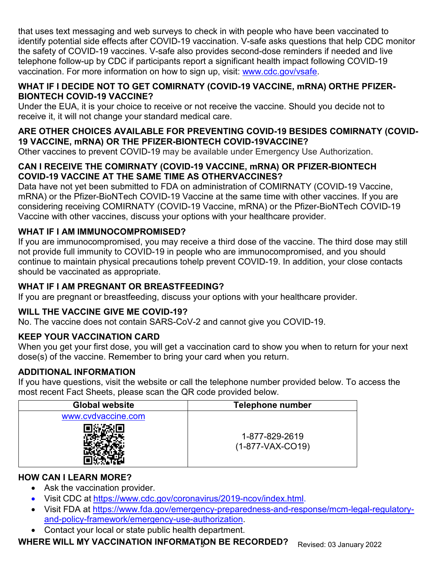that uses text messaging and web surveys to check in with people who have been vaccinated to identify potential side effects after COVID-19 vaccination. V-safe asks questions that help CDC monitor the safety of COVID-19 vaccines. V-safe also provides second-dose reminders if needed and live telephone follow-up by CDC if participants report a significant health impact following COVID-19 vaccination. For more information on how to sign up, visit: [www.cdc.gov/vsafe.](https://urldefense.proofpoint.com/v2/url?u=http-3A__www.cdc.gov_vsafe&d=DwMF-g&c=UE1eNsedaKncO0Yl_u8bfw&r=iggimxFo1bnCoTNHtFHht7zBjWLmMD5xyYOHusHEMRA&m=NUusRcDWxrAYwskpVPikFjIp1YMB1upPlqmEqHLqywo&s=ZgZDg3kpZyGQV82QCF-MKAMdQ9UDWQqf3K-6eMVizRE&e)

#### **WHAT IF I DECIDE NOT TO GET COMIRNATY (COVID-19 VACCINE, mRNA) ORTHE PFIZER-BIONTECH COVID-19 VACCINE?**

Under the EUA, it is your choice to receive or not receive the vaccine. Should you decide not to receive it, it will not change your standard medical care.

### **ARE OTHER CHOICES AVAILABLE FOR PREVENTING COVID-19 BESIDES COMIRNATY (COVID-19 VACCINE, mRNA) OR THE PFIZER-BIONTECH COVID-19VACCINE?**

Other vaccines to prevent COVID-19 may be available under Emergency Use Authorization.

### **CAN I RECEIVE THE COMIRNATY (COVID-19 VACCINE, mRNA) OR PFIZER-BIONTECH COVID-19 VACCINE AT THE SAME TIME AS OTHERVACCINES?**

Data have not yet been submitted to FDA on administration of COMIRNATY (COVID-19 Vaccine, mRNA) or the Pfizer-BioNTech COVID-19 Vaccine at the same time with other vaccines. If you are considering receiving COMIRNATY (COVID-19 Vaccine, mRNA) or the Pfizer-BioNTech COVID-19 Vaccine with other vaccines, discuss your options with your healthcare provider.

# **WHAT IF I AM IMMUNOCOMPROMISED?**

If you are immunocompromised, you may receive a third dose of the vaccine. The third dose may still not provide full immunity to COVID-19 in people who are immunocompromised, and you should continue to maintain physical precautions tohelp prevent COVID-19. In addition, your close contacts should be vaccinated as appropriate.

# **WHAT IF I AM PREGNANT OR BREASTFEEDING?**

If you are pregnant or breastfeeding, discuss your options with your healthcare provider.

# **WILL THE VACCINE GIVE ME COVID-19?**

No. The vaccine does not contain SARS-CoV-2 and cannot give you COVID-19.

### **KEEP YOUR VACCINATION CARD**

When you get your first dose, you will get a vaccination card to show you when to return for your next dose(s) of the vaccine. Remember to bring your card when you return.

### **ADDITIONAL INFORMATION**

If you have questions, visit the website or call the telephone number provided below. To access the most recent Fact Sheets, please scan the QR code provided below.

| <b>Global website</b> | <b>Telephone number</b>              |
|-----------------------|--------------------------------------|
| www.cvdvaccine.com    | 1-877-829-2619<br>$(1-877-VAX-CO19)$ |

### **HOW CAN I LEARN MORE?**

- Ask the vaccination provider.
- Visit CDC at [https://www.cdc.gov/coronavirus/2019-ncov/index.html.](https://www.cdc.gov/coronavirus/2019-ncov/index.html)
- Visit FDA at [https://www.fda.gov/emergency-preparedness-and-response/mcm-legal-regulatory](https://www.fda.gov/emergency-preparedness-and-response/mcm-legal-regulatory-and-policy-framework/emergency-use-authorization)[and-policy-framework/emergency-use-authorization.](https://www.fda.gov/emergency-preparedness-and-response/mcm-legal-regulatory-and-policy-framework/emergency-use-authorization)
- Contact your local or state public health department.

**WHERE WILL MY VACCINATION INFORMATION BE RECORDED?**